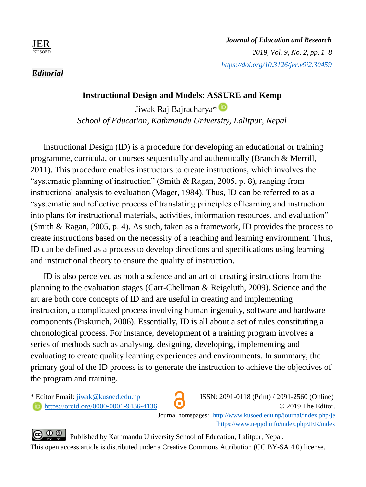

# **Instructional Design and Models: ASSURE and Kemp**

Jiwak Raj Bajracharya\* <sup>D</sup> *School of Education, Kathmandu University, Lalitpur, Nepal*

Instructional Design (ID) is a procedure for developing an educational or training programme, curricula, or courses sequentially and authentically (Branch & Merrill, 2011). This procedure enables instructors to create instructions, which involves the "systematic planning of instruction" (Smith & Ragan, 2005, p. 8), ranging from instructional analysis to evaluation (Mager, 1984). Thus, ID can be referred to as a "systematic and reflective process of translating principles of learning and instruction into plans for instructional materials, activities, information resources, and evaluation" (Smith & Ragan, 2005, p. 4). As such, taken as a framework, ID provides the process to create instructions based on the necessity of a teaching and learning environment. Thus, ID can be defined as a process to develop directions and specifications using learning and instructional theory to ensure the quality of instruction.

ID is also perceived as both a science and an art of creating instructions from the planning to the evaluation stages (Carr-Chellman & Reigeluth, 2009). Science and the art are both core concepts of ID and are useful in creating and implementing instruction, a complicated process involving human ingenuity, software and hardware components (Piskurich, 2006). Essentially, ID is all about a set of rules constituting a chronological process. For instance, development of a training program involves a series of methods such as analysing, designing, developing, implementing and evaluating to create quality learning experiences and environments. In summary, the primary goal of the ID process is to generate the instruction to achieve the objectives of the program and training.

\* Editor Email: jiwak@kusoed.edu.np ISSN: 2091-0118 (Print) / 2091-2560 (Online)



**h** https://orcid.org/0000-0001-9436-4136 © 2019 The Editor. Journal homepages:  $\frac{1 \text{http://www.kusoed.edu,np/journal/index.php/j}}{$ 2 https://www.nepjol.info/index.php/JER/index

**CO** $\bigcirc$  **Published by Kathmandu University School of Education, Lalitpur, Nepal.** 

This open access article is distributed under a Creative Commons Attribution (CC BY-SA 4.0) license.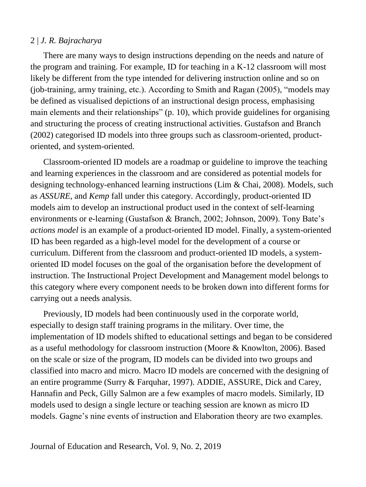There are many ways to design instructions depending on the needs and nature of the program and training. For example, ID for teaching in a K-12 classroom will most likely be different from the type intended for delivering instruction online and so on (job-training, army training, etc.). According to Smith and Ragan (2005), "models may be defined as visualised depictions of an instructional design process, emphasising main elements and their relationships" (p. 10), which provide guidelines for organising and structuring the process of creating instructional activities. Gustafson and Branch (2002) categorised ID models into three groups such as classroom-oriented, productoriented, and system-oriented.

Classroom-oriented ID models are a roadmap or guideline to improve the teaching and learning experiences in the classroom and are considered as potential models for designing technology-enhanced learning instructions (Lim & Chai, 2008). Models, such as *ASSURE*, and *Kemp* fall under this category. Accordingly, product-oriented ID models aim to develop an instructional product used in the context of self-learning environments or e-learning (Gustafson & Branch, 2002; Johnson, 2009). Tony Bate's *actions model* is an example of a product-oriented ID model. Finally, a system-oriented ID has been regarded as a high-level model for the development of a course or curriculum. Different from the classroom and product-oriented ID models, a systemoriented ID model focuses on the goal of the organisation before the development of instruction. The Instructional Project Development and Management model belongs to this category where every component needs to be broken down into different forms for carrying out a needs analysis.

Previously, ID models had been continuously used in the corporate world, especially to design staff training programs in the military. Over time, the implementation of ID models shifted to educational settings and began to be considered as a useful methodology for classroom instruction (Moore & Knowlton, 2006). Based on the scale or size of the program, ID models can be divided into two groups and classified into macro and micro. Macro ID models are concerned with the designing of an entire programme (Surry & Farquhar, 1997). ADDIE, ASSURE, Dick and Carey, Hannafin and Peck, Gilly Salmon are a few examples of macro models. Similarly, ID models used to design a single lecture or teaching session are known as micro ID models. Gagne's nine events of instruction and Elaboration theory are two examples.

Journal of Education and Research, Vol. 9, No. 2, 2019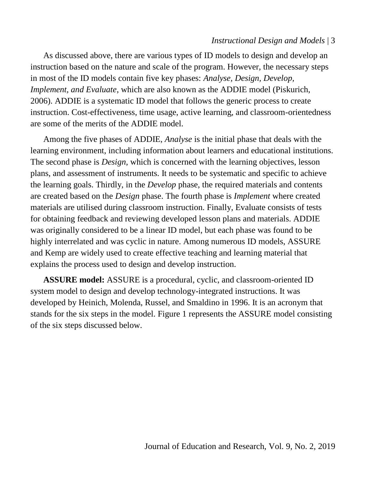## *Instructional Design and Models* | 3

As discussed above, there are various types of ID models to design and develop an instruction based on the nature and scale of the program. However, the necessary steps in most of the ID models contain five key phases: *Analyse, Design, Develop, Implement, and Evaluate*, which are also known as the ADDIE model (Piskurich, 2006). ADDIE is a systematic ID model that follows the generic process to create instruction. Cost-effectiveness, time usage, active learning, and classroom-orientedness are some of the merits of the ADDIE model.

Among the five phases of ADDIE, *Analyse* is the initial phase that deals with the learning environment, including information about learners and educational institutions. The second phase is *Design*, which is concerned with the learning objectives, lesson plans, and assessment of instruments. It needs to be systematic and specific to achieve the learning goals. Thirdly, in the *Develop* phase, the required materials and contents are created based on the *Design* phase. The fourth phase is *Implement* where created materials are utilised during classroom instruction. Finally, Evaluate consists of tests for obtaining feedback and reviewing developed lesson plans and materials. ADDIE was originally considered to be a linear ID model, but each phase was found to be highly interrelated and was cyclic in nature. Among numerous ID models, ASSURE and Kemp are widely used to create effective teaching and learning material that explains the process used to design and develop instruction.

**ASSURE model:** ASSURE is a procedural, cyclic, and classroom-oriented ID system model to design and develop technology-integrated instructions. It was developed by Heinich, Molenda, Russel, and Smaldino in 1996. It is an acronym that stands for the six steps in the model. Figure 1 represents the ASSURE model consisting of the six steps discussed below.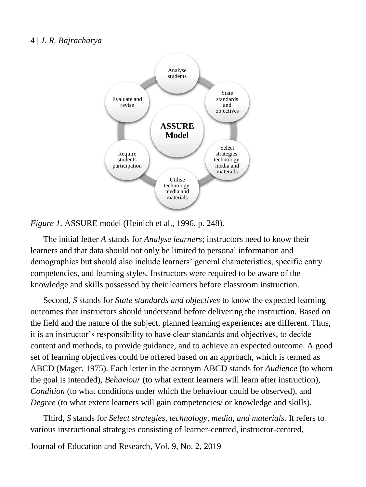

## *Figure 1.* ASSURE model (Heinich et al., 1996, p. 248).

The initial letter *A* stands for *Analyse learners*; instructors need to know their learners and that data should not only be limited to personal information and demographics but should also include learners' general characteristics, specific entry competencies, and learning styles. Instructors were required to be aware of the knowledge and skills possessed by their learners before classroom instruction.

Second, *S* stands for *State standards and objectives* to know the expected learning outcomes that instructors should understand before delivering the instruction. Based on the field and the nature of the subject, planned learning experiences are different. Thus, it is an instructor's responsibility to have clear standards and objectives, to decide content and methods, to provide guidance, and to achieve an expected outcome. A good set of learning objectives could be offered based on an approach, which is termed as ABCD (Mager, 1975). Each letter in the acronym ABCD stands for *Audience* (to whom the goal is intended), *Behaviour* (to what extent learners will learn after instruction), *Condition* (to what conditions under which the behaviour could be observed), and *Degree* (to what extent learners will gain competencies/ or knowledge and skills).

Third, *S* stands for *Select strategies, technology, media, and materials*. It refers to various instructional strategies consisting of learner-centred, instructor-centred,

Journal of Education and Research, Vol. 9, No. 2, 2019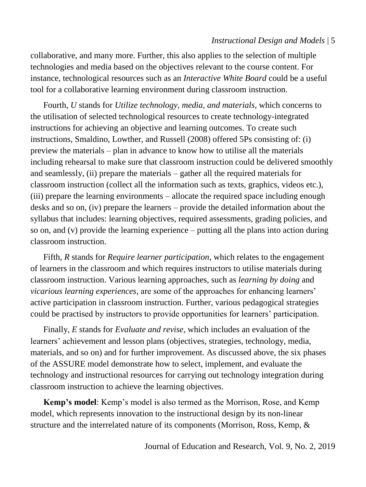## *Instructional Design and Models* | 5

collaborative, and many more. Further, this also applies to the selection of multiple technologies and media based on the objectives relevant to the course content. For instance, technological resources such as an *Interactive White Board* could be a useful tool for a collaborative learning environment during classroom instruction.

Fourth, *U* stands for *Utilize technology, media, and materials*, which concerns to the utilisation of selected technological resources to create technology-integrated instructions for achieving an objective and learning outcomes. To create such instructions, Smaldino, Lowther, and Russell (2008) offered 5Ps consisting of: (i) preview the materials – plan in advance to know how to utilise all the materials including rehearsal to make sure that classroom instruction could be delivered smoothly and seamlessly, (ii) prepare the materials – gather all the required materials for classroom instruction (collect all the information such as texts, graphics, videos etc.), (iii) prepare the learning environments – allocate the required space including enough desks and so on, (iv) prepare the learners – provide the detailed information about the syllabus that includes: learning objectives, required assessments, grading policies, and so on, and (v) provide the learning experience – putting all the plans into action during classroom instruction.

Fifth, *R* stands for *Require learner participation*, which relates to the engagement of learners in the classroom and which requires instructors to utilise materials during classroom instruction. Various learning approaches, such as *learning by doing* and *vicarious learning experiences,* are some of the approaches for enhancing learners' active participation in classroom instruction. Further, various pedagogical strategies could be practised by instructors to provide opportunities for learners' participation.

Finally, *E* stands for *Evaluate and revise*, which includes an evaluation of the learners' achievement and lesson plans (objectives, strategies, technology, media, materials, and so on) and for further improvement. As discussed above, the six phases of the ASSURE model demonstrate how to select, implement, and evaluate the technology and instructional resources for carrying out technology integration during classroom instruction to achieve the learning objectives.

**Kemp's model**: Kemp's model is also termed as the Morrison, Rose, and Kemp model, which represents innovation to the instructional design by its non-linear structure and the interrelated nature of its components (Morrison, Ross, Kemp, &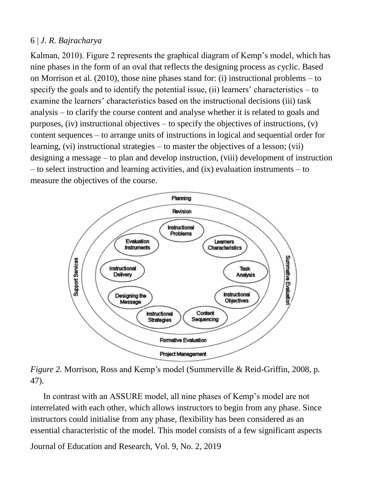Kalman, 2010). Figure 2 represents the graphical diagram of Kemp's model, which has nine phases in the form of an oval that reflects the designing process as cyclic. Based on Morrison et al. (2010), those nine phases stand for: (i) instructional problems – to specify the goals and to identify the potential issue, (ii) learners' characteristics  $-$  to examine the learners' characteristics based on the instructional decisions (iii) task analysis – to clarify the course content and analyse whether it is related to goals and purposes, (iv) instructional objectives – to specify the objectives of instructions,  $(v)$ content sequences – to arrange units of instructions in logical and sequential order for learning, (vi) instructional strategies – to master the objectives of a lesson; (vii) designing a message – to plan and develop instruction, (viii) development of instruction – to select instruction and learning activities, and (ix) evaluation instruments – to measure the objectives of the course.



*Figure 2.* Morrison, Ross and Kemp's model (Summerville & Reid-Griffin, 2008, p. 47).

In contrast with an ASSURE model, all nine phases of Kemp's model are not interrelated with each other, which allows instructors to begin from any phase. Since instructors could initialise from any phase, flexibility has been considered as an essential characteristic of the model. This model consists of a few significant aspects

Journal of Education and Research, Vol. 9, No. 2, 2019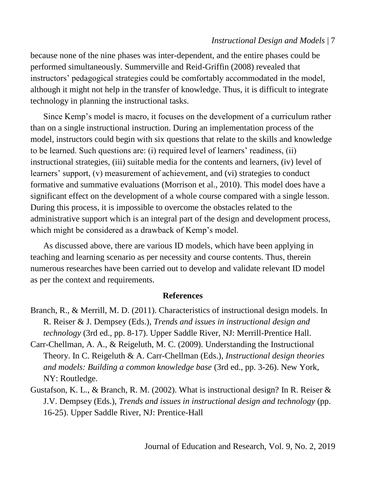## *Instructional Design and Models* | 7

because none of the nine phases was inter-dependent, and the entire phases could be performed simultaneously. Summerville and Reid-Griffin (2008) revealed that instructors' pedagogical strategies could be comfortably accommodated in the model, although it might not help in the transfer of knowledge. Thus, it is difficult to integrate technology in planning the instructional tasks.

Since Kemp's model is macro, it focuses on the development of a curriculum rather than on a single instructional instruction. During an implementation process of the model, instructors could begin with six questions that relate to the skills and knowledge to be learned. Such questions are: (i) required level of learners' readiness, (ii) instructional strategies, (iii) suitable media for the contents and learners, (iv) level of learners' support, (v) measurement of achievement, and (vi) strategies to conduct formative and summative evaluations (Morrison et al., 2010). This model does have a significant effect on the development of a whole course compared with a single lesson. During this process, it is impossible to overcome the obstacles related to the administrative support which is an integral part of the design and development process, which might be considered as a drawback of Kemp's model.

As discussed above, there are various ID models, which have been applying in teaching and learning scenario as per necessity and course contents. Thus, therein numerous researches have been carried out to develop and validate relevant ID model as per the context and requirements.

### **References**

- Branch, R., & Merrill, M. D. (2011). Characteristics of instructional design models. In R. Reiser & J. Dempsey (Eds.), *Trends and issues in instructional design and technology* (3rd ed., pp. 8-17). Upper Saddle River, NJ: Merrill-Prentice Hall.
- Carr-Chellman, A. A., & Reigeluth, M. C. (2009). Understanding the Instructional Theory. In C. Reigeluth & A. Carr-Chellman (Eds.), *Instructional design theories and models: Building a common knowledge base* (3rd ed., pp. 3-26). New York, NY: Routledge.
- Gustafson, K. L., & Branch, R. M. (2002). What is instructional design? In R. Reiser & J.V. Dempsey (Eds.), *Trends and issues in instructional design and technology* (pp. 16-25). Upper Saddle River, NJ: Prentice-Hall